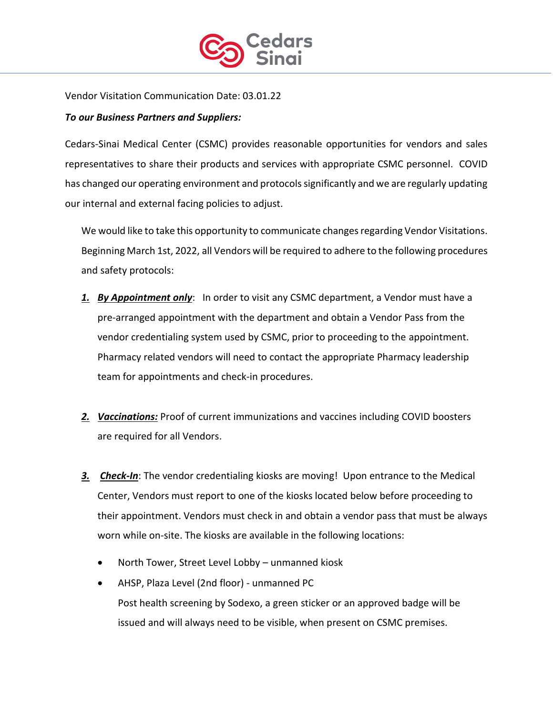

Vendor Visitation Communication Date: 03.01.22

## *To our Business Partners and Suppliers:*

Cedars-Sinai Medical Center (CSMC) provides reasonable opportunities for vendors and sales representatives to share their products and services with appropriate CSMC personnel. COVID has changed our operating environment and protocols significantly and we are regularly updating our internal and external facing policies to adjust.

We would like to take this opportunity to communicate changes regarding Vendor Visitations. Beginning March 1st, 2022, all Vendors will be required to adhere to the following procedures and safety protocols:

- *1. By Appointment only*: In order to visit any CSMC department, a Vendor must have a pre-arranged appointment with the department and obtain a Vendor Pass from the vendor credentialing system used by CSMC, prior to proceeding to the appointment. Pharmacy related vendors will need to contact the appropriate Pharmacy leadership team for appointments and check-in procedures.
- *2. Vaccinations:* Proof of current immunizations and vaccines including COVID boosters are required for all Vendors.
- *3. Check-In*: The vendor credentialing kiosks are moving! Upon entrance to the Medical Center, Vendors must report to one of the kiosks located below before proceeding to their appointment. Vendors must check in and obtain a vendor pass that must be always worn while on-site. The kiosks are available in the following locations:
	- North Tower, Street Level Lobby unmanned kiosk
	- AHSP, Plaza Level (2nd floor) unmanned PC Post health screening by Sodexo, a green sticker or an approved badge will be issued and will always need to be visible, when present on CSMC premises.